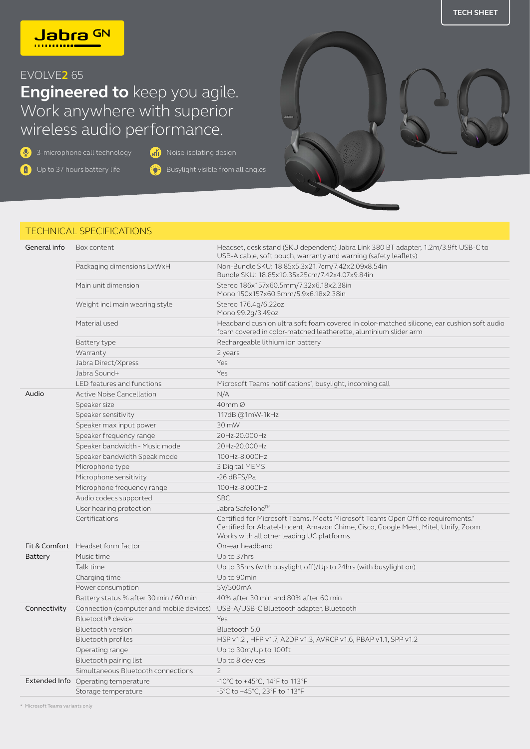

## EVOLVE**2** 65

## **Engineered to** keep you agile. Work anywhere with superior wireless audio performance.

 $\overline{Q}$  3-microphone call technology  $\overline{M}$  Noise-isolating design

**D** Up to 37 hours battery life

Busylight visible from all angles



## TECHNICAL SPECIFICATIONS

| General info | Box content                              | Headset, desk stand (SKU dependent) Jabra Link 380 BT adapter, 1.2m/3.9ft USB-C to<br>USB-A cable, soft pouch, warranty and warning (safety leaflets)                                                                |
|--------------|------------------------------------------|----------------------------------------------------------------------------------------------------------------------------------------------------------------------------------------------------------------------|
|              | Packaging dimensions LxWxH               | Non-Bundle SKU: 18.85x5.3x21.7cm/7.42x2.09x8.54in<br>Bundle SKU: 18.85x10.35x25cm/7.42x4.07x9.84in                                                                                                                   |
|              | Main unit dimension                      | Stereo 186x157x60.5mm/7.32x6.18x2.38in<br>Mono 150x157x60.5mm/5.9x6.18x2.38in                                                                                                                                        |
|              | Weight incl main wearing style           | Stereo 176.4q/6.22oz<br>Mono 99.2g/3.49oz                                                                                                                                                                            |
|              | Material used                            | Headband cushion ultra soft foam covered in color-matched silicone, ear cushion soft audio<br>foam covered in color-matched leatherette, aluminium slider arm                                                        |
|              | Battery type                             | Rechargeable lithium ion battery                                                                                                                                                                                     |
|              | Warranty                                 | 2 years                                                                                                                                                                                                              |
|              | Jabra Direct/Xpress                      | Yes                                                                                                                                                                                                                  |
|              | Jabra Sound+                             | Yes                                                                                                                                                                                                                  |
|              | LED features and functions               | Microsoft Teams notifications*, busylight, incoming call                                                                                                                                                             |
| Audio        | <b>Active Noise Cancellation</b>         | N/A                                                                                                                                                                                                                  |
|              | Speaker size                             | 40mm Ø                                                                                                                                                                                                               |
|              | Speaker sensitivity                      | 117dB @1mW-1kHz                                                                                                                                                                                                      |
|              | Speaker max input power                  | 30 mW                                                                                                                                                                                                                |
|              | Speaker frequency range                  | 20Hz-20.000Hz                                                                                                                                                                                                        |
|              | Speaker bandwidth - Music mode           | 20Hz-20.000Hz                                                                                                                                                                                                        |
|              | Speaker bandwidth Speak mode             | 100Hz-8.000Hz                                                                                                                                                                                                        |
|              | Microphone type                          | 3 Digital MEMS                                                                                                                                                                                                       |
|              | Microphone sensitivity                   | -26 dBFS/Pa                                                                                                                                                                                                          |
|              | Microphone frequency range               | 100Hz-8.000Hz                                                                                                                                                                                                        |
|              | Audio codecs supported                   | <b>SBC</b>                                                                                                                                                                                                           |
|              | User hearing protection                  | Jabra SafeTone™                                                                                                                                                                                                      |
|              | Certifications                           | Certified for Microsoft Teams. Meets Microsoft Teams Open Office requirements.*<br>Certified for Alcatel-Lucent, Amazon Chime, Cisco, Google Meet, Mitel, Unify, Zoom.<br>Works with all other leading UC platforms. |
|              | Fit & Comfort Headset form factor        | On-ear headband                                                                                                                                                                                                      |
| Battery      | Music time                               | Up to 37hrs                                                                                                                                                                                                          |
|              | Talk time                                | Up to 35hrs (with busylight off)/Up to 24hrs (with busylight on)                                                                                                                                                     |
|              | Charging time                            | Up to 90min                                                                                                                                                                                                          |
|              | Power consumption                        | 5V/500mA                                                                                                                                                                                                             |
|              | Battery status % after 30 min / 60 min   | 40% after 30 min and 80% after 60 min                                                                                                                                                                                |
| Connectivity | Connection (computer and mobile devices) | USB-A/USB-C Bluetooth adapter, Bluetooth                                                                                                                                                                             |
|              | Bluetooth® device                        | Yes                                                                                                                                                                                                                  |
|              | Bluetooth version                        | Bluetooth 5.0                                                                                                                                                                                                        |
|              | Bluetooth profiles                       | HSP v1.2, HFP v1.7, A2DP v1.3, AVRCP v1.6, PBAP v1.1, SPP v1.2                                                                                                                                                       |
|              | Operating range                          | Up to 30m/Up to 100ft                                                                                                                                                                                                |
|              | Bluetooth pairing list                   | Up to 8 devices                                                                                                                                                                                                      |
|              | Simultaneous Bluetooth connections       | $\overline{2}$                                                                                                                                                                                                       |
|              | Extended Info Operating temperature      | -10°C to +45°C, 14°F to 113°F                                                                                                                                                                                        |
|              | Storage temperature                      | -5°C to +45°C, 23°F to 113°F                                                                                                                                                                                         |

\* Microsoft Teams variants only